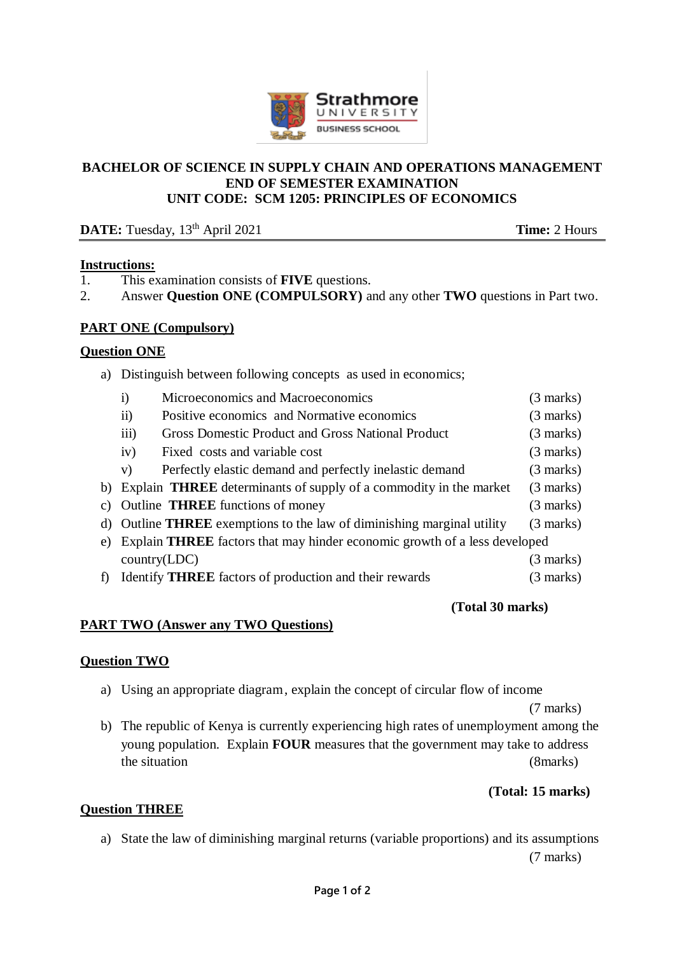

### **BACHELOR OF SCIENCE IN SUPPLY CHAIN AND OPERATIONS MANAGEMENT END OF SEMESTER EXAMINATION UNIT CODE: SCM 1205: PRINCIPLES OF ECONOMICS**

# **DATE:** Tuesday,  $13^{\text{th}}$  April 2021 **Time:** 2 Hours

### **Instructions:**

- 1. This examination consists of **FIVE** questions.
- 2. Answer **Question ONE (COMPULSORY)** and any other **TWO** questions in Part two.

## **PART ONE (Compulsory)**

#### **Question ONE**

a) Distinguish between following concepts as used in economics;

| $\mathbf{i}$                                                                        | Microeconomics and Macroeconomics                                             | $(3 \text{ marks})$ |
|-------------------------------------------------------------------------------------|-------------------------------------------------------------------------------|---------------------|
| $\overline{11}$                                                                     | Positive economics and Normative economics                                    | $(3 \text{ marks})$ |
| iii)                                                                                | Gross Domestic Product and Gross National Product                             | $(3 \text{ marks})$ |
| iv)                                                                                 | Fixed costs and variable cost                                                 | $(3 \text{ marks})$ |
| V)                                                                                  | Perfectly elastic demand and perfectly inelastic demand                       | $(3 \text{ marks})$ |
|                                                                                     | b) Explain <b>THREE</b> determinants of supply of a commodity in the market   | $(3 \text{ marks})$ |
|                                                                                     | c) Outline <b>THREE</b> functions of money                                    | $(3 \text{ marks})$ |
|                                                                                     | d) Outline <b>THREE</b> exemptions to the law of diminishing marginal utility | $(3 \text{ marks})$ |
| e) Explain <b>THREE</b> factors that may hinder economic growth of a less developed |                                                                               |                     |
|                                                                                     | $\text{country}(\text{LDC})$                                                  | $(3 \text{ marks})$ |
|                                                                                     | f) Identify <b>THREE</b> factors of production and their rewards              | $(3 \text{ marks})$ |
|                                                                                     |                                                                               |                     |

#### **(Total 30 marks)**

## **PART TWO (Answer any TWO Questions)**

#### **Question TWO**

a) Using an appropriate diagram, explain the concept of circular flow of income

(7 marks)

b) The republic of Kenya is currently experiencing high rates of unemployment among the young population. Explain **FOUR** measures that the government may take to address the situation (8marks)

## **(Total: 15 marks)**

## **Question THREE**

a) State the law of diminishing marginal returns (variable proportions) and its assumptions (7 marks)